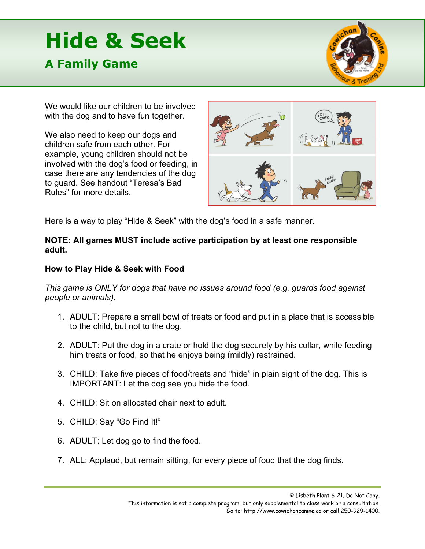## **Hide & Seek**

## **A Family Game**



We would like our children to be involved with the dog and to have fun together.

We also need to keep our dogs and children safe from each other. For example, young children should not be involved with the dog's food or feeding, in case there are any tendencies of the dog to guard. See handout "Teresa's Bad Rules" for more details.



Here is a way to play "Hide & Seek" with the dog's food in a safe manner.

## **NOTE: All games MUST include active participation by at least one responsible adult.**

## **How to Play Hide & Seek with Food**

*This game is ONLY for dogs that have no issues around food (e.g. guards food against people or animals).*

- 1. ADULT: Prepare a small bowl of treats or food and put in a place that is accessible to the child, but not to the dog.
- 2. ADULT: Put the dog in a crate or hold the dog securely by his collar, while feeding him treats or food, so that he enjoys being (mildly) restrained.
- 3. CHILD: Take five pieces of food/treats and "hide" in plain sight of the dog. This is IMPORTANT: Let the dog see you hide the food.
- 4. CHILD: Sit on allocated chair next to adult.
- 5. CHILD: Say "Go Find It!"
- 6. ADULT: Let dog go to find the food.
- 7. ALL: Applaud, but remain sitting, for every piece of food that the dog finds.